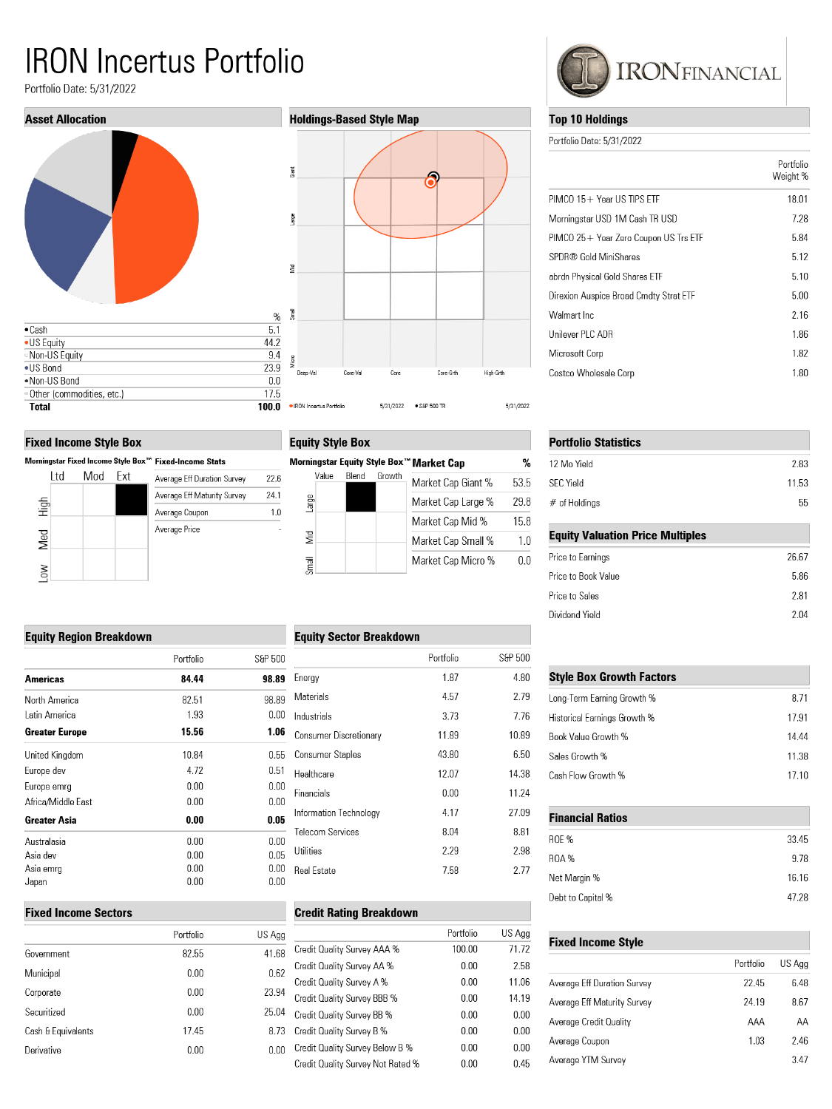# **IRON Incertus Portfolio**

Portfolio Date: 5/31/2022



#### **Fixed Income Style Box**

|        |      |     |     | Morningstar Fixed Income Style Box™ Fixed-Income Stats |
|--------|------|-----|-----|--------------------------------------------------------|
|        | l td | Mod | Fxt | Average Eff Duration Survey                            |
|        |      |     |     | Average Eff Maturity Survey                            |
| High   |      |     |     | Average Coupon                                         |
| Med    |      |     |     | Average Price                                          |
| $\geq$ |      |     |     |                                                        |

## **Holdings-Based Style Map**



## **Equity Style Box**

 $22.6$ 

 $24.1$  $1.0\,$ 

|          |       |       |        | Morningstar Equity Style Box™ Market Cap | %    |
|----------|-------|-------|--------|------------------------------------------|------|
|          | Value | Blend | Growth | Market Cap Giant %                       | 53.E |
| Large    |       |       |        | Market Cap Large %                       | 29.8 |
|          |       |       |        | Market Cap Mid %                         | 15.8 |
| <b>S</b> |       |       |        | Market Cap Small %                       | 1.0  |
| lleul    |       |       |        | Market Cap Micro %                       | 0.0  |

#### **Equity Sector Breakdown**

|                               | Portfolio | S&P 500 |
|-------------------------------|-----------|---------|
| Energy                        | 1.87      | 4.80    |
| Materials                     | 4.57      | 2.79    |
| Industrials                   | 3.73      | 7.76    |
| <b>Consumer Discretionary</b> | 11.89     | 10.89   |
| <b>Consumer Staples</b>       | 43.80     | 6.50    |
| Healthcare                    | 12.07     | 14.38   |
| Financials                    | 0.00      | 11.24   |
| Information Technology        | 4.17      | 27.09   |
| <b>Telecom Services</b>       | 8.04      | 8.81    |
| Utilities                     | 2.29      | 2.98    |
| Real Estate                   | 7.58      | 2.77    |
|                               |           |         |

## **Credit Rating Breakdown**

| S Agg |                                   | Portfolio | US Agg |
|-------|-----------------------------------|-----------|--------|
| 41.68 | Credit Quality Survey AAA %       | 100.00    | 71.72  |
| 0.62  | Credit Quality Survey AA %        | 0.00      | 2.58   |
|       | Credit Quality Survey A %         | 0.00      | 11.06  |
| 23.94 | Credit Quality Survey BBB %       | 0.00      | 14.19  |
| 25.04 | Credit Quality Survey BB %        | 0.00      | 0.00   |
| 8.73  | Credit Quality Survey B %         | 0.00      | 0.00   |
| 0.00  | Credit Quality Survey Below B %   | 0.00      | 0.00   |
|       | Credit Quality Survey Not Rated % | 0.00      | 0.45   |
|       |                                   |           |        |



#### **Top 10 Holdings**

Portfolio Date: 5/31/2022

|                                        | Portfolio<br>Weight % |
|----------------------------------------|-----------------------|
| $PIMCO$ 15 + Year US TIPS FTF          | 18.01                 |
| Morningstar USD 1M Cash TR USD         | 7.28                  |
| PIMCO 25+ Year Zero Coupon US Trs ETF  | 5.84                  |
| SPDR® Gold MiniShares                  | 5.12                  |
| abrdn Physical Gold Shares ETF         | 5.10                  |
| Direxion Auspice Broad Cmdty Strat ETF | 5.00                  |
| Walmart Inc                            | 2.16                  |
| Unilever PLC ADR                       | 1.86                  |
| Microsoft Corp                         | 1.82                  |
| Costco Wholesale Corp                  | 1.80                  |

| <b>Portfolio Statistics</b>             |       |
|-----------------------------------------|-------|
| 12 Mo Yield                             | 2.83  |
| <b>SFC Yield</b>                        | 11.53 |
| $#$ of Holdings                         | 55    |
| <b>Equity Valuation Price Multiples</b> |       |
| Price to Earnings                       | 26.67 |
| Price to Book Value                     | 5.86  |
| Price to Sales                          | 2.81  |

2.04

| <b>Style Box Growth Factors</b> |       |  |  |
|---------------------------------|-------|--|--|
| Long-Term Earning Growth %      | 8.71  |  |  |
| Historical Earnings Growth %    | 17.91 |  |  |
| Book Value Growth %             | 14.44 |  |  |
| Sales Growth %                  | 11.38 |  |  |
| Cash Flow Growth %              | 17 10 |  |  |

| <b>Financial Ratios</b> |       |  |
|-------------------------|-------|--|
| <b>ROE %</b>            | 33.45 |  |
| <b>ROA%</b>             | 9.78  |  |
| Net Margin %            | 16.16 |  |
| Debt to Capital %       | 47.28 |  |

#### **Fixed Income Style**

Dividend Yield

|                             | Portfolio | US Agg |
|-----------------------------|-----------|--------|
| Average Eff Duration Survey | 22.45     | 6.48   |
| Average Eff Maturity Survey | 24.19     | 8.67   |
| Average Credit Quality      | AAA       | AΑ     |
| Average Coupon              | 1.03      | 2.46   |
| Average YTM Survey          |           | 3.47   |

## **Equity Region Breakdown**

|                       | Portfolio | S&P 500 |
|-----------------------|-----------|---------|
| Americas              | 84.44     | 98.89   |
| North America         | 82.51     | 98.89   |
| I atin America        | 1.93      | 0.00    |
| <b>Greater Europe</b> | 15.56     | 1.06    |
| United Kingdom        | 10.84     | 0.55    |
| Europe dev            | 4.72      | 0.51    |
| Europe emrg           | 0.00      | 0.00    |
| Africa/Middle East    | 0.00      | 0.00    |
| Greater Asia          | 0.00      | 0.05    |
| Australasia           | 0.00      | 0.00    |
| Asia dev              | 0.00      | 0.05    |
| Asia emrq             | 0.00      | 0.00    |
| Japan                 | 0.00      | 0.00    |

#### **Fixed Income Sectors**

|                    | Portfolio | US Agg |
|--------------------|-----------|--------|
| Government         | 82.55     | 41.68  |
| Municipal          | 0.00      | 0.62   |
| Corporate          | 0.00      | 23.94  |
| Securitized        | 0.00      | 25.04  |
| Cash & Equivalents | 17.45     | 8.73   |
| Derivative         | 0.00      | 0.00   |
|                    |           |        |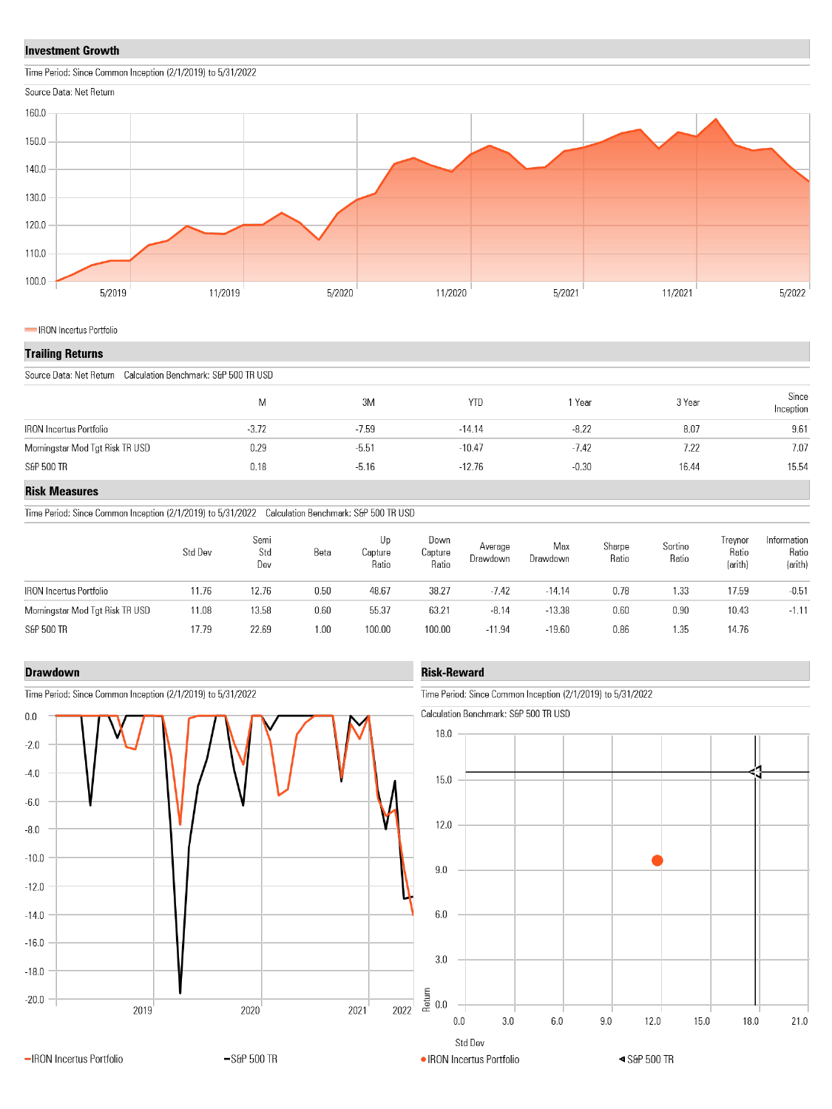#### **Investment Growth**

Time Period: Since Common Inception (2/1/2019) to 5/31/2022



#### IRON Incertus Portfolio

#### **Trailing Returns**

| Source Data: Net Return Calculation Benchmark: S&P 500 TR USD |         |         |            |         |        |                    |  |  |
|---------------------------------------------------------------|---------|---------|------------|---------|--------|--------------------|--|--|
|                                                               | Μ       | 3M      | <b>YTD</b> | 1 Year  | 3 Year | Since<br>Inception |  |  |
| <b>IRON</b> Incertus Portfolio                                | $-3.72$ | $-7.59$ | $-14.14$   | $-8.22$ | 8.07   | 9.61               |  |  |
| Morningstar Mod Tgt Risk TR USD                               | 0.29    | $-5.51$ | $-10.47$   | $-7.42$ | 7.22   | 7.07               |  |  |
| S&P 500 TR                                                    | 0.18    | $-5.16$ | $-12.76$   | $-0.30$ | 16.44  | 15.54              |  |  |

#### **Risk Measures**

Time Period: Since Common Inception (2/1/2019) to 5/31/2022 Calculation Benchmark: S&P 500 TR USD

| Std Dev | Semi<br>Std<br>Dev | Beta | Up<br>Capture<br>Ratio | Down<br>Capture<br>Ratio | Average<br>Drawdown | Max<br>Drawdown | Sharpe<br>Ratio | Sortino<br>Ratio | Irevnor<br>Ratio<br>(arith) | Information<br>Ratio<br>(arith) |
|---------|--------------------|------|------------------------|--------------------------|---------------------|-----------------|-----------------|------------------|-----------------------------|---------------------------------|
| 11.76   | 12.76              | 0.50 | 48.67                  | 38.27                    | $-7.42$             | $-14.14$        | 0.78            | 1.33             | 17.59                       | $-0.51$                         |
| 11.08   | 13.58              | 0.60 | 55.37                  | 63.21                    | $-8.14$             | $-13.38$        | 0.60            | 0.90             | 10.43                       | $-1.11$                         |
| 17.79   | 22.69              | 1.00 | 100.00                 | 100.00                   | $-11.94$            | $-19.60$        | 0.86            | 1.35             | 14.76                       |                                 |
|         |                    |      |                        |                          |                     |                 |                 |                  |                             |                                 |

#### **Drawdown**



#### Time Period: Since Common Inception (2/1/2019) to 5/31/2022

## **Risk-Reward**

Time Period: Since Common Inception (2/1/2019) to 5/31/2022

Calculation Benchmark: S&P 500 TR USD

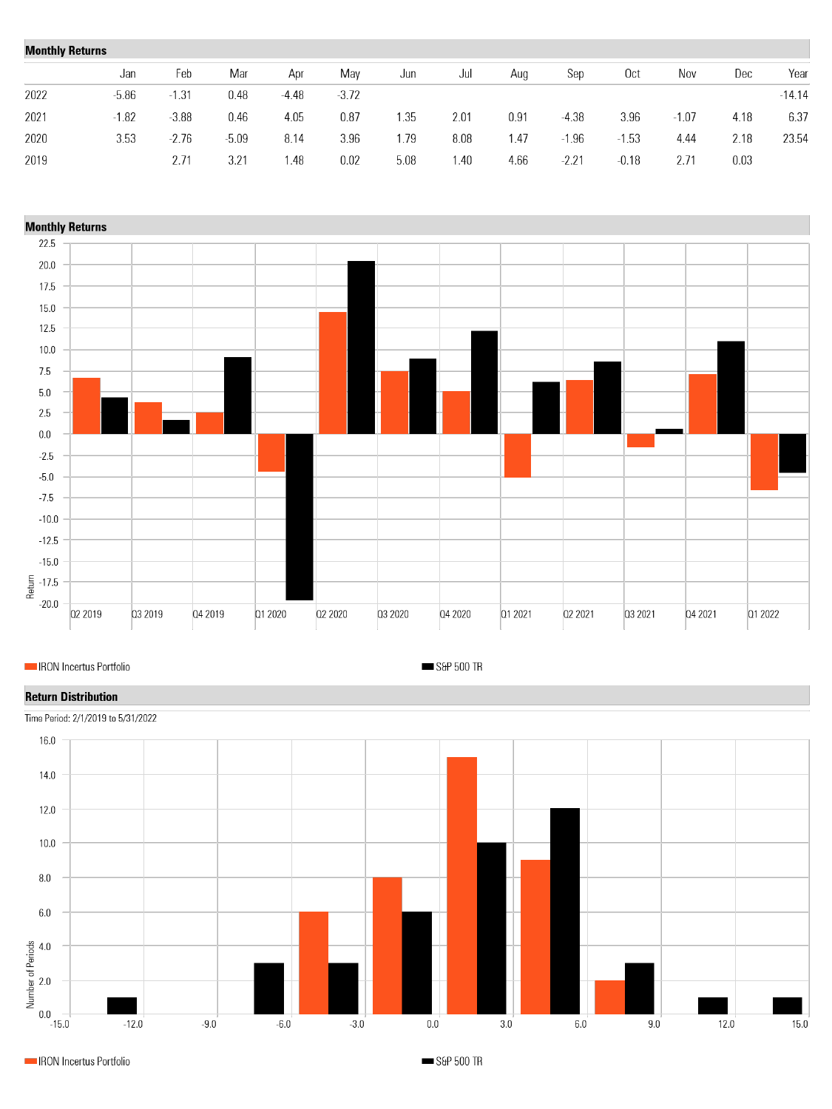| <b>Monthly Returns</b> |         |         |       |         |         |      |      |      |             |                 |         |      |          |
|------------------------|---------|---------|-------|---------|---------|------|------|------|-------------|-----------------|---------|------|----------|
|                        | Jan     | Feb     | Mar   | Apr     | May     | Jun  | Jul  | Aug  | Sep         | 0 <sub>ct</sub> | Nov     | Dec  | Year     |
| 2022                   | $-5.86$ | $-1.31$ | 0.48  | $-4.48$ | $-3.72$ |      |      |      |             |                 |         |      | $-14.14$ |
| 2021                   | $-1.82$ | $-3.88$ | 0.46  | 4.05    | 0.87    | . 35 | 2.01 | 0.91 | $-4.38$     | 3.96            | $-1.07$ | 4.18 | 6.37     |
| 2020                   | 3.53    | $-2.76$ | -5.09 | 8.14    | 3.96    | . 79 | 8.08 | 1.47 | .96<br>$-1$ | $-1.53$         | 4.44    | 2.18 | 23.54    |
| 2019                   |         | 2.71    | 3.21  | l.48    | 0.02    | 5.08 | 1.40 | 4.66 | $-2.21$     | $-0.18$         | 2.71    | 0.03 |          |



IRON Incertus Portfolio

S&P 500 TR

## **Return Distribution**



Time Period: 2/1/2019 to 5/31/2022